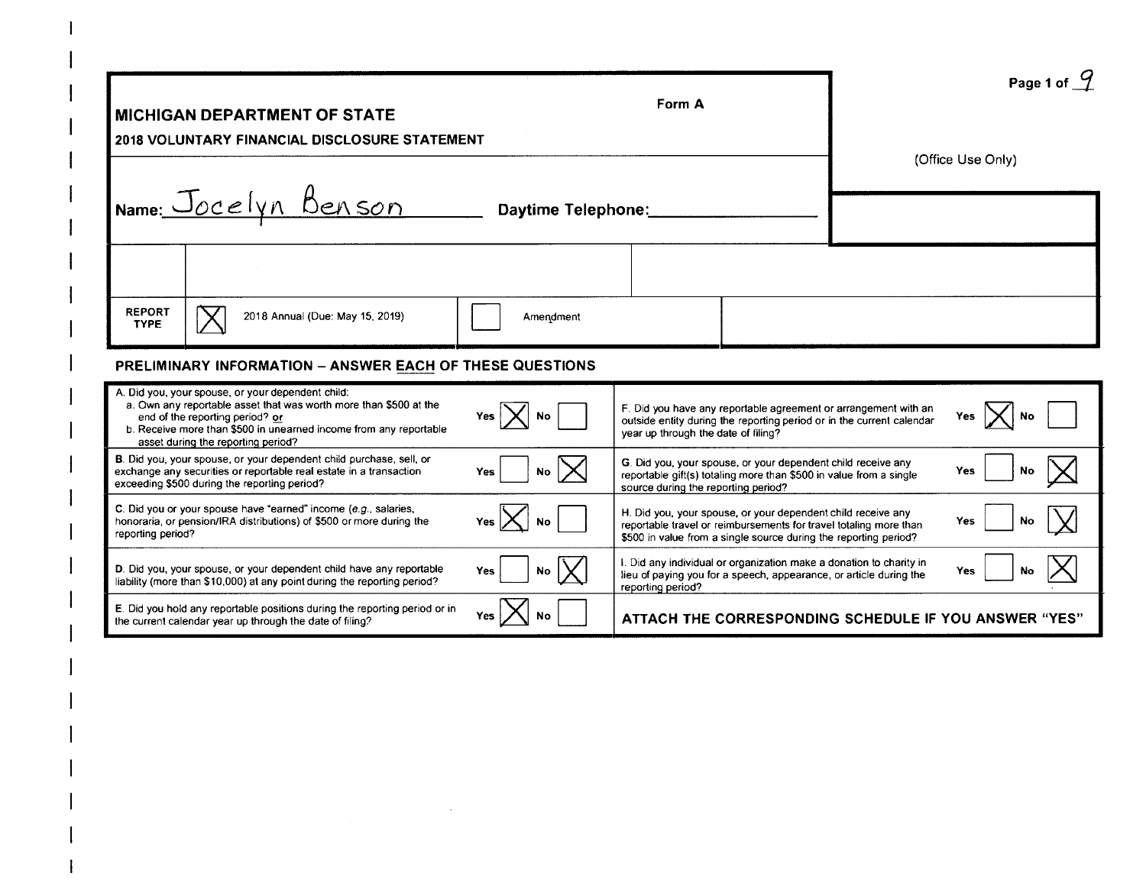|                                                                                                                                                                                                                                                                      |                    | Form A                                                                                                                                                                                                | Page 1 of $\frac{9}{2}$ |
|----------------------------------------------------------------------------------------------------------------------------------------------------------------------------------------------------------------------------------------------------------------------|--------------------|-------------------------------------------------------------------------------------------------------------------------------------------------------------------------------------------------------|-------------------------|
| <b>MICHIGAN DEPARTMENT OF STATE</b><br><b>2018 VOLUNTARY FINANCIAL DISCLOSURE STATEMENT</b>                                                                                                                                                                          |                    |                                                                                                                                                                                                       | (Office Use Only)       |
| Name: Jocelyn Benson                                                                                                                                                                                                                                                 | Daytime Telephone: |                                                                                                                                                                                                       |                         |
|                                                                                                                                                                                                                                                                      |                    |                                                                                                                                                                                                       |                         |
| <b>REPORT</b><br>2018 Annual (Due: May 15, 2019)<br><b>TYPE</b>                                                                                                                                                                                                      | Amendment          |                                                                                                                                                                                                       |                         |
| PRELIMINARY INFORMATION - ANSWER EACH OF THESE QUESTIONS                                                                                                                                                                                                             |                    |                                                                                                                                                                                                       |                         |
| A. Did you, your spouse, or your dependent child:<br>a. Own any reportable asset that was worth more than \$500 at the<br>end of the reporting period? or<br>b. Receive more than \$500 in unearned income from any reportable<br>asset during the reporting period? |                    | F. Did you have any reportable agreement or arrangement with an<br>outside entity during the reporting period or in the current calendar<br>year up through the date of filing?                       |                         |
| B. Did you, your spouse, or your dependent child purchase, sell, or<br>exchange any securities or reportable real estate in a transaction<br>exceeding \$500 during the reporting period?                                                                            | <b>No</b>          | G. Did you, your spouse, or your dependent child receive any<br>reportable gift(s) totaling more than \$500 in value from a single<br>source during the reporting period?                             | No<br>Yes               |
| C. Did you or your spouse have "earned" income (e.g., salaries,<br>honoraria, or pension/IRA distributions) of \$500 or more during the<br>reporting period?                                                                                                         |                    | H. Did you, your spouse, or your dependent child receive any<br>reportable travel or reimbursements for travel totaling more than<br>\$500 in value from a single source during the reporting period? | No<br>Yes               |
| D. Did you, your spouse, or your dependent child have any reportable<br>liability (more than \$10,000) at any point during the reporting period?                                                                                                                     | Yes                | I. Did any individual or organization make a donation to charity in<br>lieu of paying you for a speech, appearance, or article during the<br>reporting period?                                        | Yes                     |
| E. Did you hold any reportable positions during the reporting period or in<br>the current calendar year up through the date of filing?                                                                                                                               |                    | ATTACH THE CORRESPONDING SCHEDULE IF YOU ANSWER "YES"                                                                                                                                                 |                         |

 $\mathcal{L}^{\text{max}}_{\text{max}}$  and  $\mathcal{L}^{\text{max}}_{\text{max}}$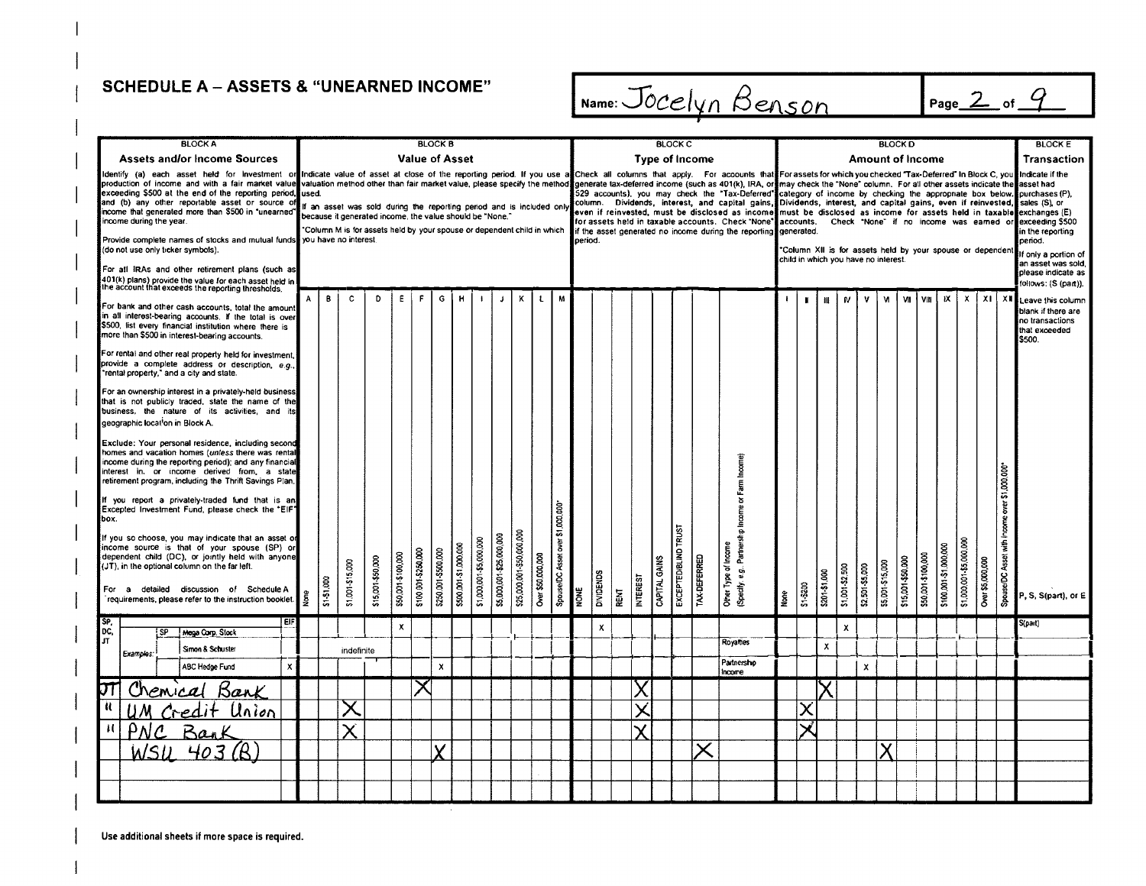SCHEDULE A - ASSETS & "UNEARNED INCOME" **IName:**  $\frac{Jocelyn \text{Benson}}{Name}$  Page 2 of 9

| <b>BLOCK A</b>                                                                                                                                                                                                                                                                                                                                                                                                                                                                                                                                                                                                                                                                                                                                                                                                                                                                                                                                    |       |            |                                                                                                                                                                                                             |                   |                    |                       | <b>BLOCK B</b>      |                       |                         |                          |                           |                   |                                  |         |                  |      |                 |               | <b>BLOCK C</b>        |              |                                                                                                                                                                                                                                                                                                        |      |           |               |                                      |                 | <b>BLOCK D</b>  |                                                            |                    |                       |                         |                  |                                               | <b>BLOCK E</b>                                                                                                                                                                                                                                                                                                                                                                                                 |
|---------------------------------------------------------------------------------------------------------------------------------------------------------------------------------------------------------------------------------------------------------------------------------------------------------------------------------------------------------------------------------------------------------------------------------------------------------------------------------------------------------------------------------------------------------------------------------------------------------------------------------------------------------------------------------------------------------------------------------------------------------------------------------------------------------------------------------------------------------------------------------------------------------------------------------------------------|-------|------------|-------------------------------------------------------------------------------------------------------------------------------------------------------------------------------------------------------------|-------------------|--------------------|-----------------------|---------------------|-----------------------|-------------------------|--------------------------|---------------------------|-------------------|----------------------------------|---------|------------------|------|-----------------|---------------|-----------------------|--------------|--------------------------------------------------------------------------------------------------------------------------------------------------------------------------------------------------------------------------------------------------------------------------------------------------------|------|-----------|---------------|--------------------------------------|-----------------|-----------------|------------------------------------------------------------|--------------------|-----------------------|-------------------------|------------------|-----------------------------------------------|----------------------------------------------------------------------------------------------------------------------------------------------------------------------------------------------------------------------------------------------------------------------------------------------------------------------------------------------------------------------------------------------------------------|
| <b>Assets and/or Income Sources</b>                                                                                                                                                                                                                                                                                                                                                                                                                                                                                                                                                                                                                                                                                                                                                                                                                                                                                                               |       |            |                                                                                                                                                                                                             |                   |                    | <b>Value of Asset</b> |                     |                       |                         |                          |                           |                   |                                  |         |                  |      |                 |               | <b>Type of Income</b> |              |                                                                                                                                                                                                                                                                                                        |      |           |               |                                      |                 |                 | <b>Amount of Income</b>                                    |                    |                       |                         |                  |                                               | Transaction                                                                                                                                                                                                                                                                                                                                                                                                    |
| Identify (a) each asset held for Investment or Indicate value of asset at close of the reporting period. If you use a Check all columns that apply. For acoounts that Forassets for which you checked Tax-Deferred" In Block C<br>production of income and with a fair market value valuation method other than fair market value, please specify the method generate tax-deferred income (such as 401(k), IRA, or may check the "None" column. For all other as<br>exceeding \$500 at the end of the reporting period,<br>and (b) any other reportable asset or source of<br>income that generated more than \$500 in "unearned"<br>income during the year.<br>Provide complete names of stocks and mutual funds, you have no interest.<br>(do not use only ticker symbols).<br>For atl IRAs and other retirement plans (such as<br>401(k) plans) provide the value for each asset held in<br>the account that exceeds the reporting thresholds, | used. |            | If an asset was sold during the reporting period and is included only<br>because it generated income, the value should be "None,"<br>Column M is for assets held by your spouse or dependent child in which |                   |                    |                       |                     |                       |                         |                          |                           |                   |                                  | period. |                  |      |                 |               |                       |              | column. Dividends, interest, and capital gains, Dividends, interest, and capital gains, even if reinvested,<br>even if reinvested, must be disclosed as income¶must be disclosed as income for assets held in taxable∎exchanges(E)<br>if the asset generated no income during the reporting generated. |      |           |               | child in which you have no interest. |                 |                 | "Column XII is for assets held by your spouse or dependent |                    |                       |                         |                  |                                               | Indicate if the<br>529 accounts), you may check the "Tax-Deferred" category of income by checking the appropriate box below. purchases (P),<br>sales (S), or<br>for assets held in taxable accounts. Check "None" accounts. Check "None" if no income was earned or exceeding \$500<br>in the reporting<br>period.<br>If only a portion of<br>an asset was sold,<br>please indicate as<br>follows: (S (part)). |
| For bank and other cash accounts, total the amount<br>in all interest-bearing accounts. If the total is over<br>\$500, list every financial institution where there is<br>more than \$500 in interest-bearing accounts.                                                                                                                                                                                                                                                                                                                                                                                                                                                                                                                                                                                                                                                                                                                           | A     | В          | Ć                                                                                                                                                                                                           | D                 | E.                 | F.                    | G                   | H                     |                         | Ĵ                        | κ                         | Ł                 | M                                |         |                  |      |                 |               |                       |              |                                                                                                                                                                                                                                                                                                        |      |           | $\mathbf{H}$  | ${\bf N}$                            | v               | M               | ٧ı                                                         | VIII               | <b>IX</b>             | x                       | $x_1$            | <b>XII</b>                                    | Leave this column<br>blank if there are<br>no transactions<br>that exceeded<br>\$500.                                                                                                                                                                                                                                                                                                                          |
| For rental and other real property held for investment,<br>provide a complete address or description, e.g.<br>"rental property," and a city and state.                                                                                                                                                                                                                                                                                                                                                                                                                                                                                                                                                                                                                                                                                                                                                                                            |       |            |                                                                                                                                                                                                             |                   |                    |                       |                     |                       |                         |                          |                           |                   |                                  |         |                  |      |                 |               |                       |              |                                                                                                                                                                                                                                                                                                        |      |           |               |                                      |                 |                 |                                                            |                    |                       |                         |                  |                                               |                                                                                                                                                                                                                                                                                                                                                                                                                |
| For an ownership interest in a privately-held business<br>that is not publicly traded, state the name of the<br>business, the nature of its activities, and its<br>geographic location in Block A.                                                                                                                                                                                                                                                                                                                                                                                                                                                                                                                                                                                                                                                                                                                                                |       |            |                                                                                                                                                                                                             |                   |                    |                       |                     |                       |                         |                          |                           |                   |                                  |         |                  |      |                 |               |                       |              |                                                                                                                                                                                                                                                                                                        |      |           |               |                                      |                 |                 |                                                            |                    |                       |                         |                  |                                               |                                                                                                                                                                                                                                                                                                                                                                                                                |
| Exclude: Your personal residence, including second<br>homes and vacation homes (unless there was rental<br>income during the reporting period); and any financial<br>interest in, or income derived from, a state<br>retirement program, including the Thrift Savings Plan.                                                                                                                                                                                                                                                                                                                                                                                                                                                                                                                                                                                                                                                                       |       |            |                                                                                                                                                                                                             |                   |                    |                       |                     |                       |                         |                          |                           |                   |                                  |         |                  |      |                 |               |                       |              |                                                                                                                                                                                                                                                                                                        |      |           |               |                                      |                 |                 |                                                            |                    |                       |                         |                  |                                               |                                                                                                                                                                                                                                                                                                                                                                                                                |
| If you report a privately-traded fund that is an<br>Excepted Investment Fund, please check the "EIF"<br>box.                                                                                                                                                                                                                                                                                                                                                                                                                                                                                                                                                                                                                                                                                                                                                                                                                                      |       |            |                                                                                                                                                                                                             |                   |                    |                       |                     |                       |                         |                          |                           |                   |                                  |         |                  |      |                 |               |                       |              |                                                                                                                                                                                                                                                                                                        |      |           |               |                                      |                 |                 |                                                            |                    |                       |                         |                  |                                               |                                                                                                                                                                                                                                                                                                                                                                                                                |
| If you so choose, you may indicate that an asset of<br>income source is that of your spouse (SP) or<br>dependent child (DC), or jointly held with anyone<br>(JT), in the optional column on the far left.                                                                                                                                                                                                                                                                                                                                                                                                                                                                                                                                                                                                                                                                                                                                         |       |            | \$1.001-\$15,000                                                                                                                                                                                            | \$15,001-\$50,000 | \$50,001-\$100,000 | \$100.001-\$250.000   | \$250.001-\$500.000 | \$500.001-\$1.000.000 | \$1,000,001-\$5,000,000 | \$5,000,001-\$25,000,000 | \$25,000,001-\$50,000,000 | Over \$50,000,000 | Spouse/DC Asset over \$1,000,000 |         | <b>DIVIDENDS</b> |      |                 | CAPITAL GAINS | EXCEPTED/BLIND TRUST  | TAX-DEFERRED | Specify: e.g Partnership Income or Farm Income)<br>Other Type of Incame                                                                                                                                                                                                                                |      |           | \$201 \$1.000 | \$1,001-\$2.500                      | \$2.501-\$5.000 | 55,001-\$15,000 | \$15,001-\$50,000                                          | \$50,001-\$100,000 | \$100,001-\$1,000,000 | \$1,000,001-\$5,000,000 | Over \$5,000,000 | Spouse/DC Asset with Income over \$1,000,000* |                                                                                                                                                                                                                                                                                                                                                                                                                |
| For a detailed discussion of Schedule A<br>requirements, please refer to the instruction booklet.                                                                                                                                                                                                                                                                                                                                                                                                                                                                                                                                                                                                                                                                                                                                                                                                                                                 | I§    | \$1-51,000 |                                                                                                                                                                                                             |                   |                    |                       |                     |                       |                         |                          |                           |                   |                                  | NONE    |                  | RENT | <b>INTEREST</b> |               |                       |              |                                                                                                                                                                                                                                                                                                        | None | \$1-\$200 |               |                                      |                 |                 |                                                            |                    |                       |                         |                  |                                               | P, S, S(part), or E                                                                                                                                                                                                                                                                                                                                                                                            |
| SP,<br>DC,<br>i Eif<br>¦ SP<br>Mega Corp. Stock                                                                                                                                                                                                                                                                                                                                                                                                                                                                                                                                                                                                                                                                                                                                                                                                                                                                                                   |       |            |                                                                                                                                                                                                             |                   | $\mathbf{x}$       |                       |                     |                       |                         |                          |                           |                   |                                  |         | x                |      |                 |               |                       |              |                                                                                                                                                                                                                                                                                                        |      |           |               | $\mathbf{x}$                         |                 |                 |                                                            |                    |                       |                         |                  |                                               | S(part)                                                                                                                                                                                                                                                                                                                                                                                                        |
| JΤ<br>Simon & Schuster<br>Examples:                                                                                                                                                                                                                                                                                                                                                                                                                                                                                                                                                                                                                                                                                                                                                                                                                                                                                                               |       |            | indefinite                                                                                                                                                                                                  |                   |                    |                       |                     |                       |                         |                          |                           |                   |                                  |         |                  |      |                 |               |                       |              | <b>Royalties</b>                                                                                                                                                                                                                                                                                       |      |           | X             |                                      |                 |                 |                                                            |                    |                       |                         |                  |                                               |                                                                                                                                                                                                                                                                                                                                                                                                                |
| $\pmb{\chi}$<br>ABC Hedge Fund                                                                                                                                                                                                                                                                                                                                                                                                                                                                                                                                                                                                                                                                                                                                                                                                                                                                                                                    |       |            |                                                                                                                                                                                                             |                   |                    |                       | $\pmb{\times}$      |                       |                         |                          |                           |                   |                                  |         |                  |      |                 |               |                       |              | Partnership<br>Income                                                                                                                                                                                                                                                                                  |      |           |               |                                      | $\pmb{\chi}$    |                 |                                                            |                    |                       |                         |                  |                                               |                                                                                                                                                                                                                                                                                                                                                                                                                |
| <u>Chemical Bank</u>                                                                                                                                                                                                                                                                                                                                                                                                                                                                                                                                                                                                                                                                                                                                                                                                                                                                                                                              |       |            |                                                                                                                                                                                                             |                   |                    |                       |                     |                       |                         |                          |                           |                   |                                  |         |                  |      |                 |               |                       |              |                                                                                                                                                                                                                                                                                                        |      |           |               |                                      |                 |                 |                                                            |                    |                       |                         |                  |                                               |                                                                                                                                                                                                                                                                                                                                                                                                                |
| Credit Union<br>j)                                                                                                                                                                                                                                                                                                                                                                                                                                                                                                                                                                                                                                                                                                                                                                                                                                                                                                                                |       |            |                                                                                                                                                                                                             |                   |                    |                       |                     |                       |                         |                          |                           |                   |                                  |         |                  |      |                 |               |                       |              |                                                                                                                                                                                                                                                                                                        |      |           |               |                                      |                 |                 |                                                            |                    |                       |                         |                  |                                               |                                                                                                                                                                                                                                                                                                                                                                                                                |
| Bank<br>-i (<br>$\mathsf{p}_{\mathsf{\Lambda}}$                                                                                                                                                                                                                                                                                                                                                                                                                                                                                                                                                                                                                                                                                                                                                                                                                                                                                                   |       |            |                                                                                                                                                                                                             |                   |                    |                       |                     |                       |                         |                          |                           |                   |                                  |         |                  |      |                 |               |                       |              |                                                                                                                                                                                                                                                                                                        |      |           |               |                                      |                 |                 |                                                            |                    |                       |                         |                  |                                               |                                                                                                                                                                                                                                                                                                                                                                                                                |
| 403(B)                                                                                                                                                                                                                                                                                                                                                                                                                                                                                                                                                                                                                                                                                                                                                                                                                                                                                                                                            |       |            |                                                                                                                                                                                                             |                   |                    |                       | v                   |                       |                         |                          |                           |                   |                                  |         |                  |      |                 |               |                       |              |                                                                                                                                                                                                                                                                                                        |      |           |               |                                      |                 |                 |                                                            |                    |                       |                         |                  |                                               |                                                                                                                                                                                                                                                                                                                                                                                                                |
|                                                                                                                                                                                                                                                                                                                                                                                                                                                                                                                                                                                                                                                                                                                                                                                                                                                                                                                                                   |       |            |                                                                                                                                                                                                             |                   |                    |                       |                     |                       |                         |                          |                           |                   |                                  |         |                  |      |                 |               |                       |              |                                                                                                                                                                                                                                                                                                        |      |           |               |                                      |                 |                 |                                                            |                    |                       |                         |                  |                                               |                                                                                                                                                                                                                                                                                                                                                                                                                |
|                                                                                                                                                                                                                                                                                                                                                                                                                                                                                                                                                                                                                                                                                                                                                                                                                                                                                                                                                   |       |            |                                                                                                                                                                                                             |                   |                    |                       |                     |                       |                         |                          |                           |                   |                                  |         |                  |      |                 |               |                       |              |                                                                                                                                                                                                                                                                                                        |      |           |               |                                      |                 |                 |                                                            |                    |                       |                         |                  |                                               |                                                                                                                                                                                                                                                                                                                                                                                                                |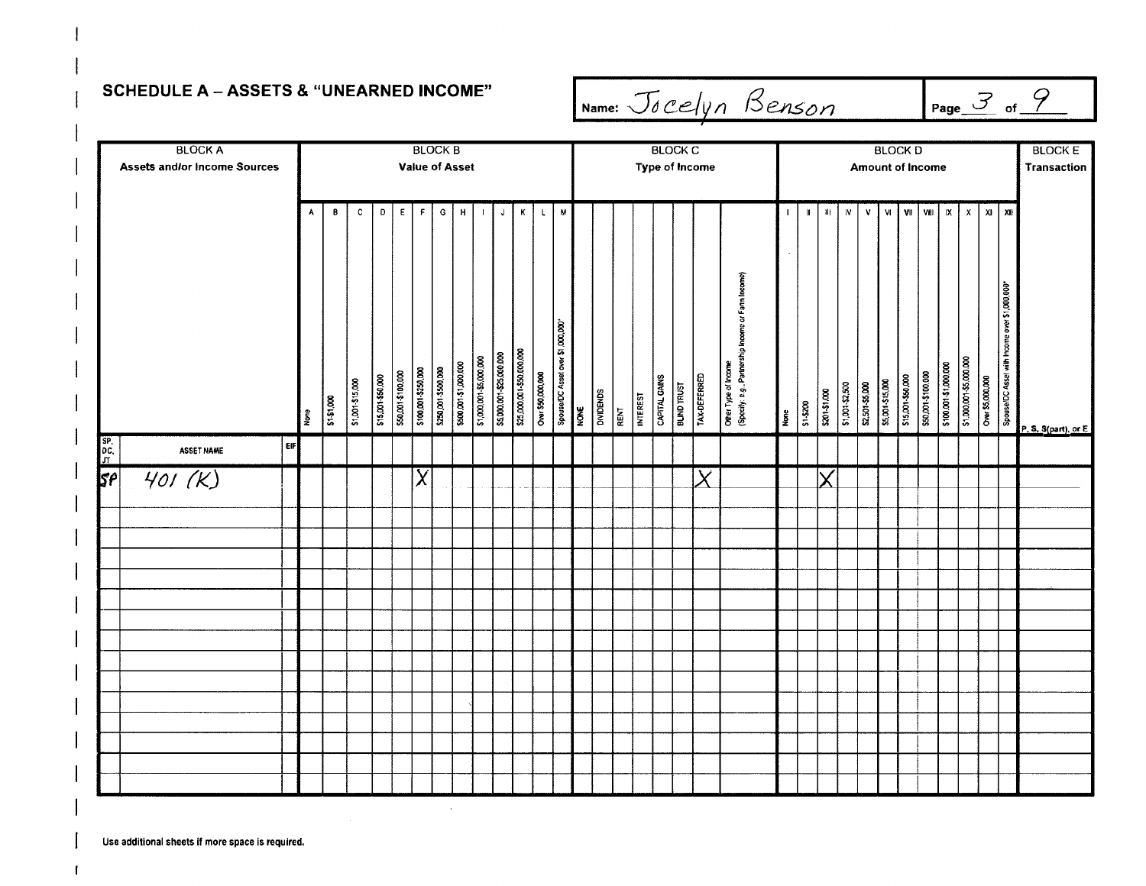### **SCHEDULE A - ASSETS & "UNEARNED INCOME"**

Name: Jocelyn Benson

 $\frac{3}{2}$  of  $\frac{9}{2}$ 

|                 | <b>BLOCK A</b>                      |      |             |                  |                   |                    | <b>BLOCK B</b>      |                     |                       |                         |                          |                           |                   |              |                                  |      |           |      |                 |               | <b>BLOCK C</b>     |                       |                                                                            |                         |                |               |                 |                 |                  | <b>BLOCKD</b>     |                    |                         |                         |                  |                                              | <b>BLOCK E</b>       |
|-----------------|-------------------------------------|------|-------------|------------------|-------------------|--------------------|---------------------|---------------------|-----------------------|-------------------------|--------------------------|---------------------------|-------------------|--------------|----------------------------------|------|-----------|------|-----------------|---------------|--------------------|-----------------------|----------------------------------------------------------------------------|-------------------------|----------------|---------------|-----------------|-----------------|------------------|-------------------|--------------------|-------------------------|-------------------------|------------------|----------------------------------------------|----------------------|
|                 | <b>Assets and/or Income Sources</b> |      |             |                  |                   |                    | Value of Asset      |                     |                       |                         |                          |                           |                   |              |                                  |      |           |      |                 |               |                    | <b>Type of Income</b> |                                                                            | <b>Amount of Income</b> |                |               |                 |                 | Transaction      |                   |                    |                         |                         |                  |                                              |                      |
|                 |                                     |      |             |                  |                   |                    |                     |                     |                       |                         |                          |                           |                   |              |                                  |      |           |      |                 |               |                    |                       |                                                                            |                         |                |               |                 |                 |                  |                   |                    |                         |                         |                  |                                              |                      |
|                 |                                     | A    | B           | $\mathbf{C}$     | $\mathbf{D}$      | $\epsilon$         | F                   | G                   | H                     | $\mathbf{I}$            | $\mathsf J$              | К                         |                   | $\mathbf{L}$ | M                                |      |           |      |                 |               |                    |                       |                                                                            | $\mathbf{I}$            | $\blacksquare$ | $\mathbf{u}$  | ${\bf W}$       | $\mathsf{v}$    | ∣ vi j           |                   | VII   VIII         | $\mathsf{I} \mathsf{X}$ | $\mathsf{x}$            |                  | $x_1$   $x_1$                                |                      |
|                 |                                     |      |             |                  |                   |                    |                     |                     |                       |                         |                          |                           |                   |              |                                  |      |           |      |                 |               |                    |                       |                                                                            |                         |                |               |                 |                 |                  |                   |                    |                         |                         |                  |                                              |                      |
|                 |                                     |      |             |                  |                   |                    |                     |                     |                       |                         |                          |                           |                   |              |                                  |      |           |      |                 |               |                    |                       |                                                                            |                         |                |               |                 |                 |                  |                   |                    |                         |                         |                  |                                              |                      |
|                 |                                     |      |             |                  |                   |                    |                     |                     |                       |                         |                          |                           |                   |              |                                  |      |           |      |                 |               |                    |                       |                                                                            |                         |                |               |                 |                 |                  |                   |                    |                         |                         |                  |                                              |                      |
|                 |                                     |      |             |                  |                   |                    |                     |                     |                       |                         |                          |                           |                   |              |                                  |      |           |      |                 |               |                    |                       | Other Type of Income<br>{Specify: e.g., Partnership Income or Farm Income} |                         |                |               |                 |                 |                  |                   |                    |                         |                         |                  |                                              |                      |
|                 |                                     |      |             |                  |                   |                    |                     |                     |                       |                         |                          |                           |                   |              |                                  |      |           |      |                 |               |                    |                       |                                                                            |                         |                |               |                 |                 |                  |                   |                    |                         |                         |                  |                                              |                      |
|                 |                                     |      |             |                  |                   |                    |                     |                     |                       |                         |                          |                           |                   |              |                                  |      |           |      |                 |               |                    |                       |                                                                            |                         |                |               |                 |                 |                  |                   |                    |                         |                         |                  |                                              |                      |
|                 |                                     |      |             |                  |                   |                    |                     |                     |                       |                         |                          |                           |                   |              |                                  |      |           |      |                 |               |                    |                       |                                                                            |                         |                |               |                 |                 |                  |                   |                    |                         |                         |                  |                                              |                      |
|                 |                                     |      |             |                  | \$15,001-\$50,000 | \$50,001-\$100,000 | \$100,001-\$250,000 | \$250,001 \$500,000 | \$500,001-\$1,000,000 | \$1,000,001-\$5,000,000 | \$5,000,001-\$25,000,000 | \$25,000,001-\$50,000,000 | Over \$50,000,000 |              | Spouse/DC Asset over \$1,000,000 |      |           |      |                 | CAPITAL GAINS | <b>BLIND TRUST</b> | <b>TAX-DEFERRED</b>   |                                                                            |                         |                |               |                 |                 |                  |                   |                    | \$100.001-\$1,000.000   | \$1,000,001-\$5,000.000 |                  |                                              |                      |
|                 |                                     | None | \$1-\$1.000 | \$1,001-\$15,000 |                   |                    |                     |                     |                       |                         |                          |                           |                   |              |                                  | NONE | DIVIDENDS | RENT | <b>INTEREST</b> |               |                    |                       |                                                                            | None                    | $rac{80}{25}$  | \$201-\$1.000 | \$1,001-\$2,500 | \$2,501-\$5,000 | \$5,001-\$15,000 | \$15,001-\$50,000 | \$50,001-\$100.000 |                         |                         | Over \$5,000,000 | Spouse/DC Asset with Income over \$1,000,000 | P. S. S(part), or E. |
| $\frac{SP}{gt}$ | EIF<br><b>ASSET NAME</b>            |      |             |                  |                   |                    |                     |                     |                       |                         |                          |                           |                   |              |                                  |      |           |      |                 |               |                    |                       |                                                                            |                         |                |               |                 |                 |                  |                   |                    |                         |                         |                  |                                              |                      |
| $5^{\rho}$      | 401 (K)                             |      |             |                  |                   |                    | χ                   |                     |                       |                         |                          |                           |                   |              |                                  |      |           |      |                 |               |                    | $\pmb{\times}$        |                                                                            |                         |                |               |                 |                 |                  |                   |                    |                         |                         |                  |                                              |                      |
|                 |                                     |      |             |                  |                   |                    |                     |                     |                       |                         |                          |                           |                   |              |                                  |      |           |      |                 |               |                    |                       |                                                                            |                         |                |               |                 |                 |                  |                   |                    |                         |                         |                  |                                              |                      |
|                 |                                     |      |             |                  |                   |                    |                     |                     |                       |                         |                          |                           |                   |              |                                  |      |           |      |                 |               |                    |                       |                                                                            |                         |                |               |                 |                 |                  |                   |                    |                         |                         |                  |                                              |                      |
|                 |                                     |      |             |                  |                   |                    |                     |                     |                       |                         |                          |                           |                   |              |                                  |      |           |      |                 |               |                    |                       |                                                                            |                         |                |               |                 |                 |                  |                   |                    |                         |                         |                  |                                              |                      |
|                 |                                     |      |             |                  |                   |                    |                     |                     |                       |                         |                          |                           |                   |              |                                  |      |           |      |                 |               |                    |                       |                                                                            |                         |                |               |                 |                 |                  |                   |                    |                         |                         |                  |                                              |                      |
|                 |                                     |      |             |                  |                   |                    |                     |                     |                       |                         |                          |                           |                   |              |                                  |      |           |      |                 |               |                    |                       |                                                                            |                         |                |               |                 |                 |                  |                   |                    |                         |                         |                  |                                              |                      |
|                 |                                     |      |             |                  |                   |                    |                     |                     |                       |                         |                          |                           |                   |              |                                  |      |           |      |                 |               |                    |                       |                                                                            |                         |                |               |                 |                 |                  |                   |                    |                         |                         |                  |                                              |                      |
|                 |                                     |      |             |                  |                   |                    |                     |                     |                       |                         |                          |                           |                   |              |                                  |      |           |      |                 |               |                    |                       |                                                                            |                         |                |               |                 |                 |                  |                   |                    |                         |                         |                  |                                              |                      |
|                 |                                     |      |             |                  |                   |                    |                     |                     |                       |                         |                          |                           |                   |              |                                  |      |           |      |                 |               |                    |                       |                                                                            |                         |                |               |                 |                 |                  |                   |                    |                         |                         |                  |                                              |                      |
|                 |                                     |      |             |                  |                   |                    |                     |                     |                       |                         |                          |                           |                   |              |                                  |      |           |      |                 |               |                    |                       |                                                                            |                         |                |               |                 |                 |                  |                   |                    |                         |                         |                  |                                              |                      |
|                 |                                     |      |             |                  |                   |                    |                     |                     |                       |                         |                          |                           |                   |              |                                  |      |           |      |                 |               |                    |                       |                                                                            |                         |                |               |                 |                 |                  |                   |                    |                         |                         |                  |                                              |                      |
|                 |                                     |      |             |                  |                   |                    |                     |                     |                       |                         |                          |                           |                   |              |                                  |      |           |      |                 |               |                    |                       |                                                                            |                         |                |               |                 |                 |                  |                   |                    |                         |                         |                  |                                              |                      |
|                 |                                     |      |             |                  |                   |                    |                     |                     |                       |                         |                          |                           |                   |              |                                  |      |           |      |                 |               |                    |                       |                                                                            |                         |                |               |                 |                 |                  |                   |                    |                         |                         |                  |                                              |                      |
|                 |                                     |      |             |                  |                   |                    |                     |                     |                       |                         |                          |                           |                   |              |                                  |      |           |      |                 |               |                    |                       |                                                                            |                         |                |               |                 |                 |                  |                   |                    |                         |                         |                  |                                              |                      |
|                 |                                     |      |             |                  |                   |                    |                     |                     |                       |                         |                          |                           |                   |              |                                  |      |           |      |                 |               |                    |                       |                                                                            |                         |                |               |                 |                 |                  |                   |                    |                         |                         |                  |                                              |                      |

 $\bar{z}$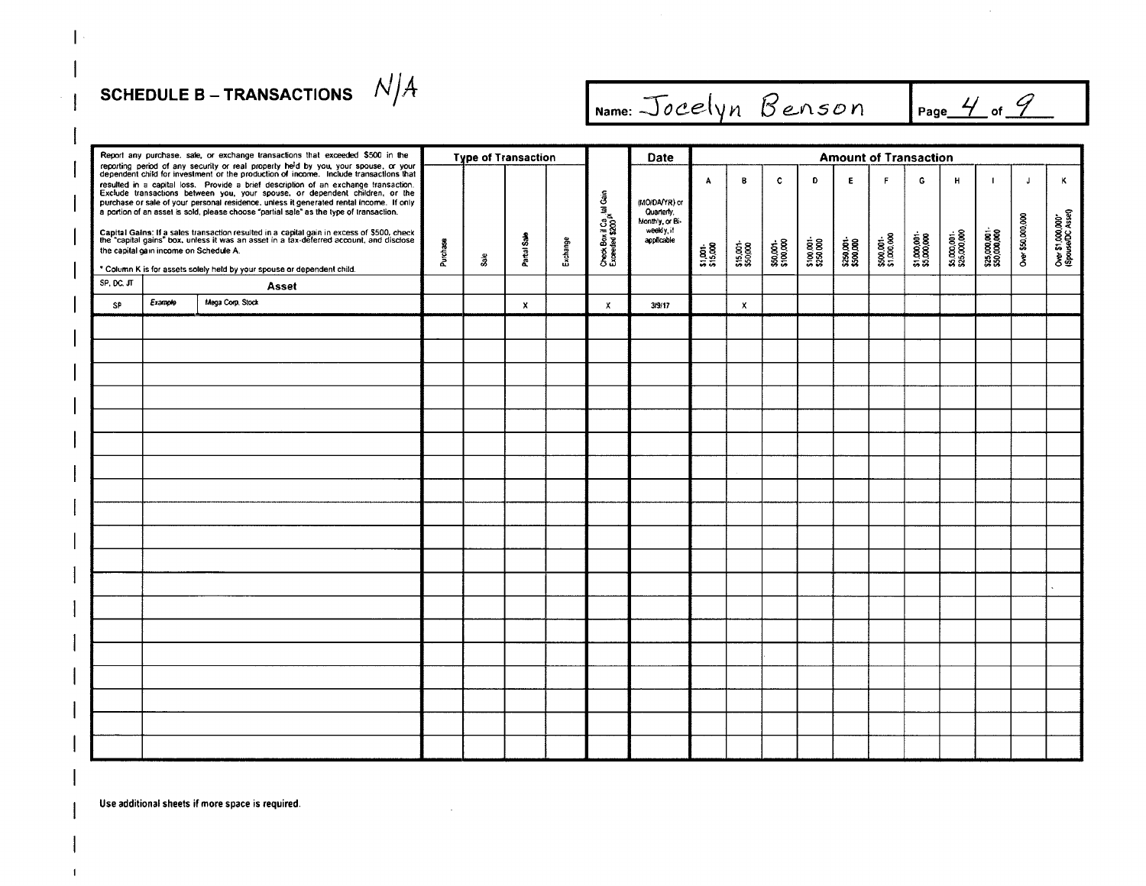## SCHEDULE B – TRANSACTIONS  $N/A$

| Report any purchase, sale, or exchange transactions that exceeded \$500 in the<br><b>Amount of Transaction</b><br><b>Type of Transaction</b><br>Date<br>reporting period of any security or real property he'd by you, your spouse, or your dependent child for investment or the production of income. Include transactions that<br>B<br>$\mathbf c$<br>D<br>E<br>$\mathsf{F}$<br>G<br>н<br>$\mathsf{J}$<br>A<br>$\mathbf{I}$<br>resulted in a capital loss. Provide a brief description of an exchange transaction.<br>Exclude transactions between you, your spouse, or dependent children, or the<br>Check Box if Ca <sub>ss</sub> tal Gain<br>Exceeded \$200 <sup>px</sup><br>purchase or sale of your personal residence, unless it generated rental income. If only<br>(MO/DA/YR) or<br>a portion of an asset is sold, please choose "partial sale" as the type of transaction.<br>Quarterly,<br>Over \$1,000,000"<br>(Spouse/DC Asset)<br>0ver \$50,000,000<br>Monthly, or Bi-<br>weekly, if<br>\$25,000,001-<br>\$50,000,000<br>Capital Gains: If a sales transaction resulted in a capital gain in excess of \$500, check<br>the "capital gains" box, unless it was an asset in a tax-deferred account, and disclose<br>\$5,000,001-<br>\$25,000,000<br>\$1,000,001-<br>\$5,000,000<br>Partial Sale<br>\$500,001<br>\$1.000,000<br>applicable<br>Exchange<br>\$250,001-<br>\$500,000<br>\$100,001-<br>\$250,000<br>\$50,001-<br>\$100,000<br>\$15,001-<br>\$50,000<br>Purchase<br>\$1,001-<br>\$15,000<br>the capital gain income on Schedule A.<br>$3a$ e<br>* Column K is for assets solely held by your spouse or dependent child.<br>SP, DC, JT<br>Asset<br>Mega Corp. Stock<br>Example<br>SP<br>$\mathbf{x}$<br>3/9/17<br>$\boldsymbol{\mathsf{x}}$<br>X |  |  |  |  |  |  |  |  |  |  |  |  |  |  |  |  |  |   |
|-------------------------------------------------------------------------------------------------------------------------------------------------------------------------------------------------------------------------------------------------------------------------------------------------------------------------------------------------------------------------------------------------------------------------------------------------------------------------------------------------------------------------------------------------------------------------------------------------------------------------------------------------------------------------------------------------------------------------------------------------------------------------------------------------------------------------------------------------------------------------------------------------------------------------------------------------------------------------------------------------------------------------------------------------------------------------------------------------------------------------------------------------------------------------------------------------------------------------------------------------------------------------------------------------------------------------------------------------------------------------------------------------------------------------------------------------------------------------------------------------------------------------------------------------------------------------------------------------------------------------------------------------------------------------------------------------------------------------------------------------------------------------|--|--|--|--|--|--|--|--|--|--|--|--|--|--|--|--|--|---|
|                                                                                                                                                                                                                                                                                                                                                                                                                                                                                                                                                                                                                                                                                                                                                                                                                                                                                                                                                                                                                                                                                                                                                                                                                                                                                                                                                                                                                                                                                                                                                                                                                                                                                                                                                                         |  |  |  |  |  |  |  |  |  |  |  |  |  |  |  |  |  |   |
|                                                                                                                                                                                                                                                                                                                                                                                                                                                                                                                                                                                                                                                                                                                                                                                                                                                                                                                                                                                                                                                                                                                                                                                                                                                                                                                                                                                                                                                                                                                                                                                                                                                                                                                                                                         |  |  |  |  |  |  |  |  |  |  |  |  |  |  |  |  |  | ĸ |
|                                                                                                                                                                                                                                                                                                                                                                                                                                                                                                                                                                                                                                                                                                                                                                                                                                                                                                                                                                                                                                                                                                                                                                                                                                                                                                                                                                                                                                                                                                                                                                                                                                                                                                                                                                         |  |  |  |  |  |  |  |  |  |  |  |  |  |  |  |  |  |   |
|                                                                                                                                                                                                                                                                                                                                                                                                                                                                                                                                                                                                                                                                                                                                                                                                                                                                                                                                                                                                                                                                                                                                                                                                                                                                                                                                                                                                                                                                                                                                                                                                                                                                                                                                                                         |  |  |  |  |  |  |  |  |  |  |  |  |  |  |  |  |  |   |
|                                                                                                                                                                                                                                                                                                                                                                                                                                                                                                                                                                                                                                                                                                                                                                                                                                                                                                                                                                                                                                                                                                                                                                                                                                                                                                                                                                                                                                                                                                                                                                                                                                                                                                                                                                         |  |  |  |  |  |  |  |  |  |  |  |  |  |  |  |  |  |   |
|                                                                                                                                                                                                                                                                                                                                                                                                                                                                                                                                                                                                                                                                                                                                                                                                                                                                                                                                                                                                                                                                                                                                                                                                                                                                                                                                                                                                                                                                                                                                                                                                                                                                                                                                                                         |  |  |  |  |  |  |  |  |  |  |  |  |  |  |  |  |  |   |
|                                                                                                                                                                                                                                                                                                                                                                                                                                                                                                                                                                                                                                                                                                                                                                                                                                                                                                                                                                                                                                                                                                                                                                                                                                                                                                                                                                                                                                                                                                                                                                                                                                                                                                                                                                         |  |  |  |  |  |  |  |  |  |  |  |  |  |  |  |  |  |   |
|                                                                                                                                                                                                                                                                                                                                                                                                                                                                                                                                                                                                                                                                                                                                                                                                                                                                                                                                                                                                                                                                                                                                                                                                                                                                                                                                                                                                                                                                                                                                                                                                                                                                                                                                                                         |  |  |  |  |  |  |  |  |  |  |  |  |  |  |  |  |  |   |
|                                                                                                                                                                                                                                                                                                                                                                                                                                                                                                                                                                                                                                                                                                                                                                                                                                                                                                                                                                                                                                                                                                                                                                                                                                                                                                                                                                                                                                                                                                                                                                                                                                                                                                                                                                         |  |  |  |  |  |  |  |  |  |  |  |  |  |  |  |  |  |   |
|                                                                                                                                                                                                                                                                                                                                                                                                                                                                                                                                                                                                                                                                                                                                                                                                                                                                                                                                                                                                                                                                                                                                                                                                                                                                                                                                                                                                                                                                                                                                                                                                                                                                                                                                                                         |  |  |  |  |  |  |  |  |  |  |  |  |  |  |  |  |  |   |
|                                                                                                                                                                                                                                                                                                                                                                                                                                                                                                                                                                                                                                                                                                                                                                                                                                                                                                                                                                                                                                                                                                                                                                                                                                                                                                                                                                                                                                                                                                                                                                                                                                                                                                                                                                         |  |  |  |  |  |  |  |  |  |  |  |  |  |  |  |  |  |   |
|                                                                                                                                                                                                                                                                                                                                                                                                                                                                                                                                                                                                                                                                                                                                                                                                                                                                                                                                                                                                                                                                                                                                                                                                                                                                                                                                                                                                                                                                                                                                                                                                                                                                                                                                                                         |  |  |  |  |  |  |  |  |  |  |  |  |  |  |  |  |  |   |
|                                                                                                                                                                                                                                                                                                                                                                                                                                                                                                                                                                                                                                                                                                                                                                                                                                                                                                                                                                                                                                                                                                                                                                                                                                                                                                                                                                                                                                                                                                                                                                                                                                                                                                                                                                         |  |  |  |  |  |  |  |  |  |  |  |  |  |  |  |  |  |   |
|                                                                                                                                                                                                                                                                                                                                                                                                                                                                                                                                                                                                                                                                                                                                                                                                                                                                                                                                                                                                                                                                                                                                                                                                                                                                                                                                                                                                                                                                                                                                                                                                                                                                                                                                                                         |  |  |  |  |  |  |  |  |  |  |  |  |  |  |  |  |  |   |
|                                                                                                                                                                                                                                                                                                                                                                                                                                                                                                                                                                                                                                                                                                                                                                                                                                                                                                                                                                                                                                                                                                                                                                                                                                                                                                                                                                                                                                                                                                                                                                                                                                                                                                                                                                         |  |  |  |  |  |  |  |  |  |  |  |  |  |  |  |  |  |   |
|                                                                                                                                                                                                                                                                                                                                                                                                                                                                                                                                                                                                                                                                                                                                                                                                                                                                                                                                                                                                                                                                                                                                                                                                                                                                                                                                                                                                                                                                                                                                                                                                                                                                                                                                                                         |  |  |  |  |  |  |  |  |  |  |  |  |  |  |  |  |  |   |
|                                                                                                                                                                                                                                                                                                                                                                                                                                                                                                                                                                                                                                                                                                                                                                                                                                                                                                                                                                                                                                                                                                                                                                                                                                                                                                                                                                                                                                                                                                                                                                                                                                                                                                                                                                         |  |  |  |  |  |  |  |  |  |  |  |  |  |  |  |  |  |   |
|                                                                                                                                                                                                                                                                                                                                                                                                                                                                                                                                                                                                                                                                                                                                                                                                                                                                                                                                                                                                                                                                                                                                                                                                                                                                                                                                                                                                                                                                                                                                                                                                                                                                                                                                                                         |  |  |  |  |  |  |  |  |  |  |  |  |  |  |  |  |  |   |
|                                                                                                                                                                                                                                                                                                                                                                                                                                                                                                                                                                                                                                                                                                                                                                                                                                                                                                                                                                                                                                                                                                                                                                                                                                                                                                                                                                                                                                                                                                                                                                                                                                                                                                                                                                         |  |  |  |  |  |  |  |  |  |  |  |  |  |  |  |  |  |   |
|                                                                                                                                                                                                                                                                                                                                                                                                                                                                                                                                                                                                                                                                                                                                                                                                                                                                                                                                                                                                                                                                                                                                                                                                                                                                                                                                                                                                                                                                                                                                                                                                                                                                                                                                                                         |  |  |  |  |  |  |  |  |  |  |  |  |  |  |  |  |  |   |
|                                                                                                                                                                                                                                                                                                                                                                                                                                                                                                                                                                                                                                                                                                                                                                                                                                                                                                                                                                                                                                                                                                                                                                                                                                                                                                                                                                                                                                                                                                                                                                                                                                                                                                                                                                         |  |  |  |  |  |  |  |  |  |  |  |  |  |  |  |  |  |   |
|                                                                                                                                                                                                                                                                                                                                                                                                                                                                                                                                                                                                                                                                                                                                                                                                                                                                                                                                                                                                                                                                                                                                                                                                                                                                                                                                                                                                                                                                                                                                                                                                                                                                                                                                                                         |  |  |  |  |  |  |  |  |  |  |  |  |  |  |  |  |  |   |
|                                                                                                                                                                                                                                                                                                                                                                                                                                                                                                                                                                                                                                                                                                                                                                                                                                                                                                                                                                                                                                                                                                                                                                                                                                                                                                                                                                                                                                                                                                                                                                                                                                                                                                                                                                         |  |  |  |  |  |  |  |  |  |  |  |  |  |  |  |  |  |   |
|                                                                                                                                                                                                                                                                                                                                                                                                                                                                                                                                                                                                                                                                                                                                                                                                                                                                                                                                                                                                                                                                                                                                                                                                                                                                                                                                                                                                                                                                                                                                                                                                                                                                                                                                                                         |  |  |  |  |  |  |  |  |  |  |  |  |  |  |  |  |  |   |
|                                                                                                                                                                                                                                                                                                                                                                                                                                                                                                                                                                                                                                                                                                                                                                                                                                                                                                                                                                                                                                                                                                                                                                                                                                                                                                                                                                                                                                                                                                                                                                                                                                                                                                                                                                         |  |  |  |  |  |  |  |  |  |  |  |  |  |  |  |  |  |   |
|                                                                                                                                                                                                                                                                                                                                                                                                                                                                                                                                                                                                                                                                                                                                                                                                                                                                                                                                                                                                                                                                                                                                                                                                                                                                                                                                                                                                                                                                                                                                                                                                                                                                                                                                                                         |  |  |  |  |  |  |  |  |  |  |  |  |  |  |  |  |  |   |
|                                                                                                                                                                                                                                                                                                                                                                                                                                                                                                                                                                                                                                                                                                                                                                                                                                                                                                                                                                                                                                                                                                                                                                                                                                                                                                                                                                                                                                                                                                                                                                                                                                                                                                                                                                         |  |  |  |  |  |  |  |  |  |  |  |  |  |  |  |  |  |   |
|                                                                                                                                                                                                                                                                                                                                                                                                                                                                                                                                                                                                                                                                                                                                                                                                                                                                                                                                                                                                                                                                                                                                                                                                                                                                                                                                                                                                                                                                                                                                                                                                                                                                                                                                                                         |  |  |  |  |  |  |  |  |  |  |  |  |  |  |  |  |  |   |
|                                                                                                                                                                                                                                                                                                                                                                                                                                                                                                                                                                                                                                                                                                                                                                                                                                                                                                                                                                                                                                                                                                                                                                                                                                                                                                                                                                                                                                                                                                                                                                                                                                                                                                                                                                         |  |  |  |  |  |  |  |  |  |  |  |  |  |  |  |  |  |   |
|                                                                                                                                                                                                                                                                                                                                                                                                                                                                                                                                                                                                                                                                                                                                                                                                                                                                                                                                                                                                                                                                                                                                                                                                                                                                                                                                                                                                                                                                                                                                                                                                                                                                                                                                                                         |  |  |  |  |  |  |  |  |  |  |  |  |  |  |  |  |  |   |

Name: Jocelyn Benson Page 4 of 9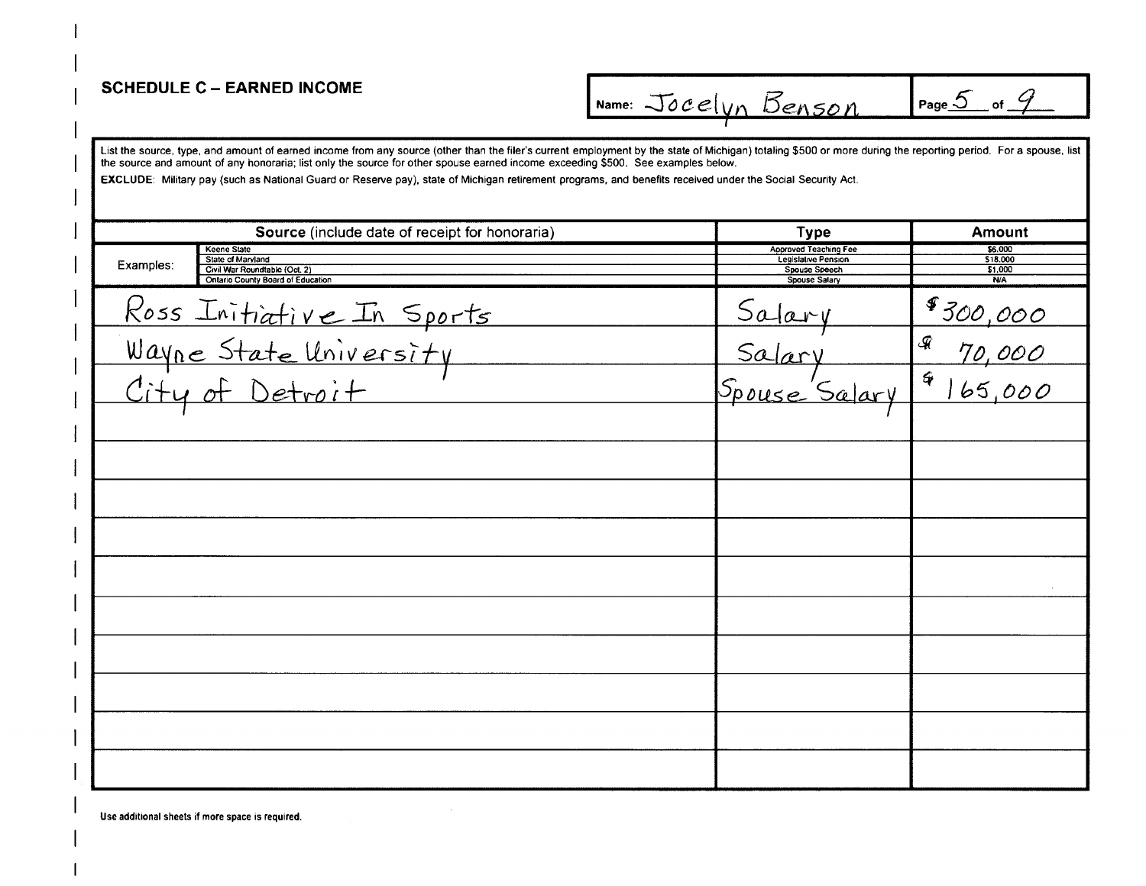#### **SCHEDULE C - EARNED INCOME**

Name: Jocelyn Benson

Page  $5$  of  $9$ 

List the source, type, and amount of earned income from any source (other than the filer's current employment by the state of Michigan) totaling \$500 or more during the reporting period. For a spouse, list the source and amount of any honoraria; list only the source for other spouse earned income exceeding \$500. See examples below.

EXCLUDE: Military pay (such as National Guard or Reserve pay), state of Michigan retirement programs, and benefits received under the Social Security Act.

| Source (include date of receipt for honoraria)                                                                             | <b>Type</b>                                                                                  | Amount                                       |
|----------------------------------------------------------------------------------------------------------------------------|----------------------------------------------------------------------------------------------|----------------------------------------------|
| <b>Keene State</b><br>State of Maryland<br>Examples:<br>Civil War Roundtable (Oct. 2)<br>Ontario County Board of Education | Approved Teaching Fee<br><b>Legislative Pension</b><br>Spouse Speech<br><b>Spouse Salary</b> | \$6,000<br>\$18.000<br>\$1,000<br><b>N/A</b> |
|                                                                                                                            |                                                                                              | \$300,000                                    |
|                                                                                                                            | Salary<br>Salary                                                                             | $\mathcal{Q}$<br>70,000                      |
| Ross Initiative In Sports<br>Wayne State University<br>City of Detroit                                                     | Spouse Salary                                                                                | $\frac{4}{165,000}$                          |
|                                                                                                                            |                                                                                              |                                              |
|                                                                                                                            |                                                                                              |                                              |
|                                                                                                                            |                                                                                              |                                              |
|                                                                                                                            |                                                                                              |                                              |
|                                                                                                                            |                                                                                              |                                              |
|                                                                                                                            |                                                                                              |                                              |
|                                                                                                                            |                                                                                              |                                              |
|                                                                                                                            |                                                                                              |                                              |
|                                                                                                                            |                                                                                              |                                              |
|                                                                                                                            |                                                                                              |                                              |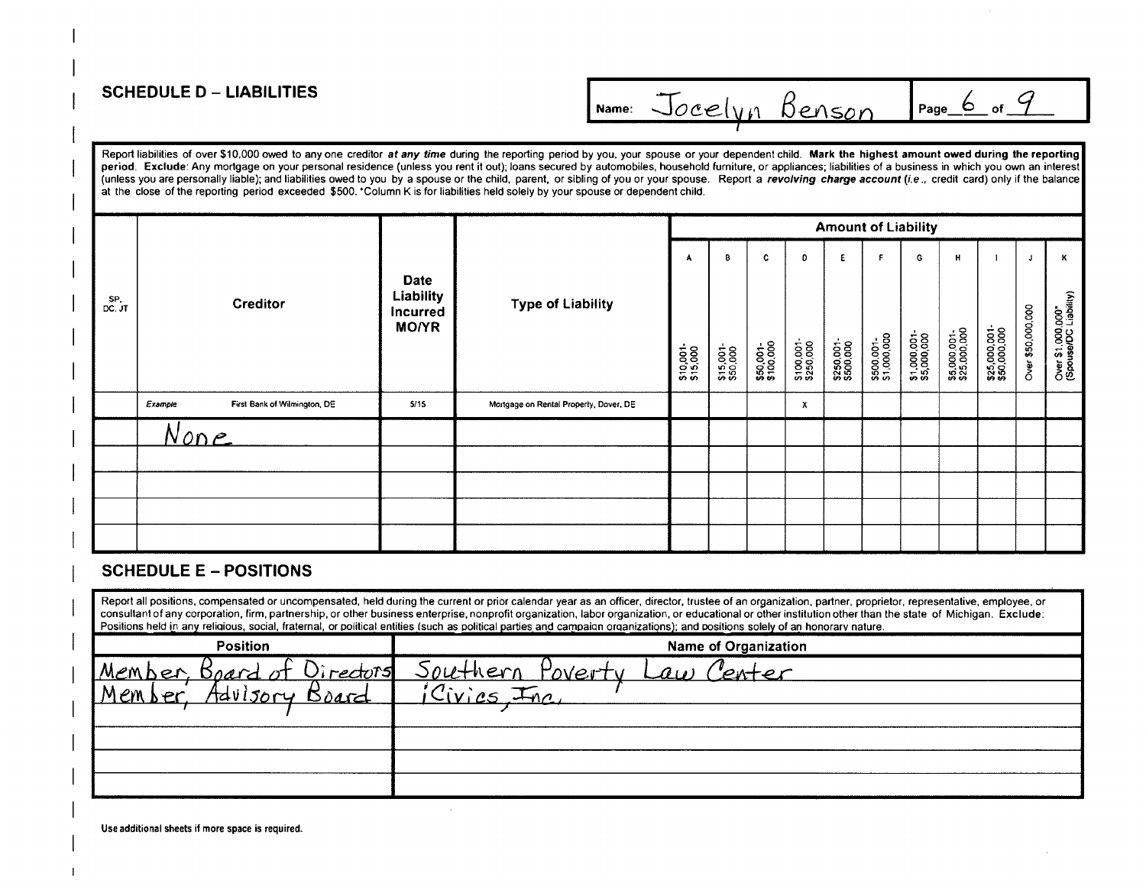#### **SCHEDULE D - LIABILITIES**

Report liabilities of over \$10,000 owed to any one creditor at any time during the reporting period by you, your spouse or your dependent child. Mark the highest amount owed during the reporting period. Exclude: Any mortgage on your personal residence (unless you rent it out); loans secured by automobiles, household furniture, or appliances; liabilities of a business in which you own an interest (unless you are personally liable); and liabilities owed to you by a spouse or the child, parent, or sibling of you or your spouse. Report a revolving charge account (i.e., credit card) only if the balance at the close of the reporting period exceeded \$500. Column K is for liabilities held solely by your spouse or dependent child.

|               |             |                              |                                                             |                                        |                       |                            |                             |                              |                                      | <b>Amount of Liability</b>      |                                  |                                   |                               |                         |                                                |
|---------------|-------------|------------------------------|-------------------------------------------------------------|----------------------------------------|-----------------------|----------------------------|-----------------------------|------------------------------|--------------------------------------|---------------------------------|----------------------------------|-----------------------------------|-------------------------------|-------------------------|------------------------------------------------|
| SP.<br>DC. JT |             | Creditor                     | <b>Date</b><br>Liability<br><b>Incurred</b><br><b>MO/YR</b> | <b>Type of Liability</b>               | \$10,001-<br>\$15,000 | В<br>\$15,001-<br>\$50,000 | c<br>\$50,001-<br>\$100,000 | D<br>\$100,001-<br>\$250,000 | E.<br><b>\$250,001-</b><br>\$500,000 | .F<br>\$500,001-<br>\$1,000,000 | G<br>\$1,000,001-<br>\$5,000,000 | н<br>\$5,000,001-<br>\$25,000,000 | \$25,000,001-<br>\$50,000,000 | J.<br>Over \$50,000,000 | к<br>Over \$1,000,000<br>(Spouse/DC Liability) |
|               | Example     | First Bank of Wilmington, DE | 5/15                                                        | Mortgage on Rental Property, Dover, DE |                       |                            |                             | x                            |                                      |                                 |                                  |                                   |                               |                         |                                                |
|               | <u>None</u> |                              |                                                             |                                        |                       |                            |                             |                              |                                      |                                 |                                  |                                   |                               |                         |                                                |
|               |             |                              |                                                             |                                        |                       |                            |                             |                              |                                      |                                 |                                  |                                   |                               |                         |                                                |
|               |             |                              |                                                             |                                        |                       |                            |                             |                              |                                      |                                 |                                  |                                   |                               |                         |                                                |
|               |             |                              |                                                             |                                        |                       |                            |                             |                              |                                      |                                 |                                  |                                   |                               |                         |                                                |
|               |             |                              |                                                             |                                        |                       |                            |                             |                              |                                      |                                 |                                  |                                   |                               |                         |                                                |

#### **SCHEDULE E - POSITIONS**

Report all positions, compensated or uncompensated, held during the current or prior calendar year as an officer, director, trustee of an organization, partner, proprietor, representative, employee, or consultant of any corporation, firm, partnership, or other business enterprise, nonprofit organization, labor organization, or educational or other institution other than the state of Michigan. Exclude: Positions held in any religious, social, fraternal, or political entities (such as political parties and campaign organizations); and positions solely of an honorary nature.

| <b>Position</b>                       | <b>Name of Organization</b>                                                   |
|---------------------------------------|-------------------------------------------------------------------------------|
| IMember<br>- Knary<br><u>irectors</u> | Southern<br>$P_{\Lambda\Lambda}$ /erty<br>$\mathcal{A}$ u $^{\circ}$<br>where |
| 4d<br><u>Brad</u>                     | $\boldsymbol{\gamma}$ . .<br>$-10$                                            |
|                                       |                                                                               |
|                                       |                                                                               |
|                                       |                                                                               |
|                                       |                                                                               |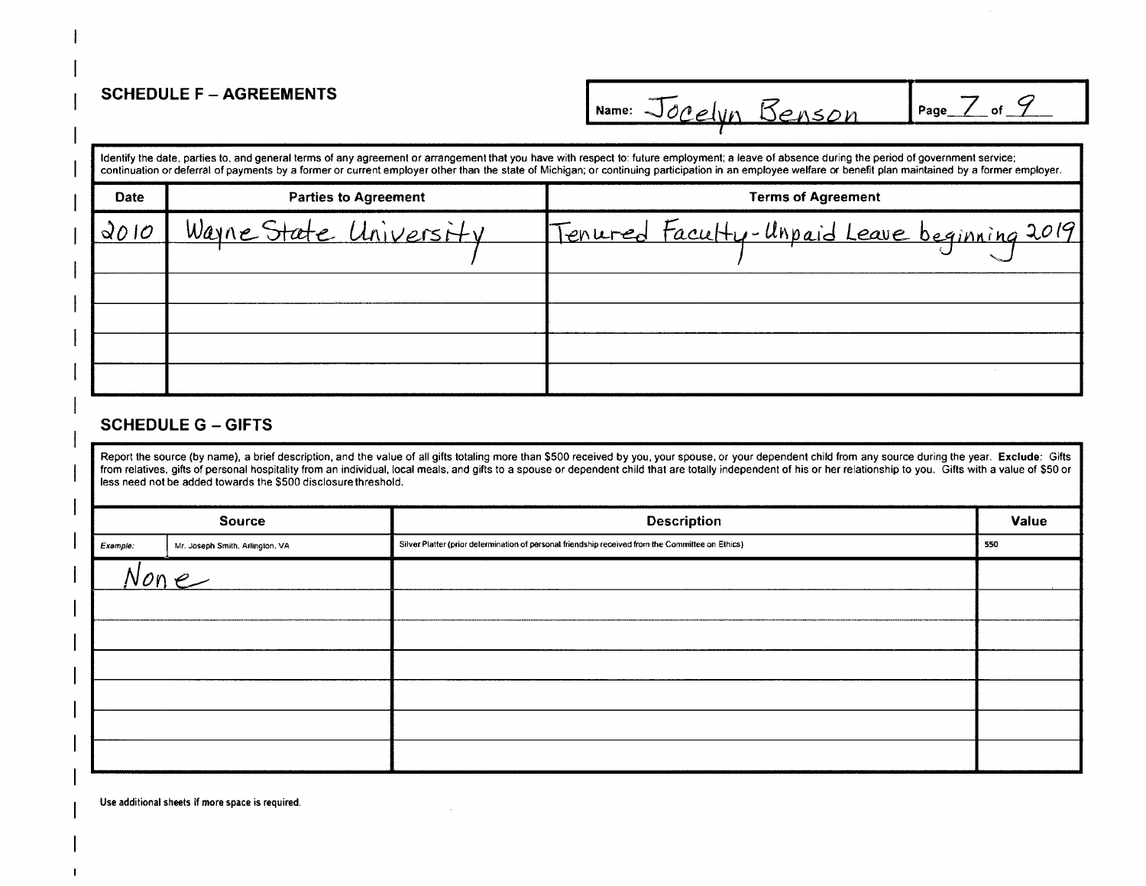# **SCHEDULE F** - **AGREEMENTS** I....-2., cz

|             |                             | Identify the date, parties to, and general terms of any agreement or arrangement that you have with respect to: future employment; a leave of absence during the period of government service;<br>continuation or deferral of payments by a former or current employer other than the state of Michigan; or continuing participation in an employee welfare or benefit plan maintained by a former employer. |
|-------------|-----------------------------|--------------------------------------------------------------------------------------------------------------------------------------------------------------------------------------------------------------------------------------------------------------------------------------------------------------------------------------------------------------------------------------------------------------|
| <b>Date</b> | <b>Parties to Agreement</b> | <b>Terms of Agreement</b>                                                                                                                                                                                                                                                                                                                                                                                    |
| 2010        | Wayne State University      | Tenured Faculty-Unpaid Leave beginning 2019                                                                                                                                                                                                                                                                                                                                                                  |
|             |                             |                                                                                                                                                                                                                                                                                                                                                                                                              |
|             |                             |                                                                                                                                                                                                                                                                                                                                                                                                              |
|             |                             |                                                                                                                                                                                                                                                                                                                                                                                                              |
|             |                             |                                                                                                                                                                                                                                                                                                                                                                                                              |
|             |                             |                                                                                                                                                                                                                                                                                                                                                                                                              |

#### **SCHEDULE G** - **GIFTS**

Report the source (by name), a brief description, and the value of all gifts totaling more than \$500 received by you, your spouse, or your dependent child from any source during the year. **Exclude:** Gifts from relatives. gifts of personal hospitality from an individual, local meals. and gifts to a spouse or dependent child that are totally independent of his or her relationship to you. Gifts with a value of \$50 or less need not be added towards the \$500 disclosure threshold.

|          | <b>Source</b>                   | <b>Description</b>                                                                                | Value |
|----------|---------------------------------|---------------------------------------------------------------------------------------------------|-------|
| Example: | Mr. Joseph Smith, Arlington, VA | Silver Platter (prior determination of personal friendship received from the Committee on Ethics) | 550   |
|          | None                            |                                                                                                   |       |
|          |                                 |                                                                                                   |       |
|          |                                 |                                                                                                   |       |
|          |                                 |                                                                                                   |       |
|          |                                 |                                                                                                   |       |
|          |                                 |                                                                                                   |       |
|          |                                 |                                                                                                   |       |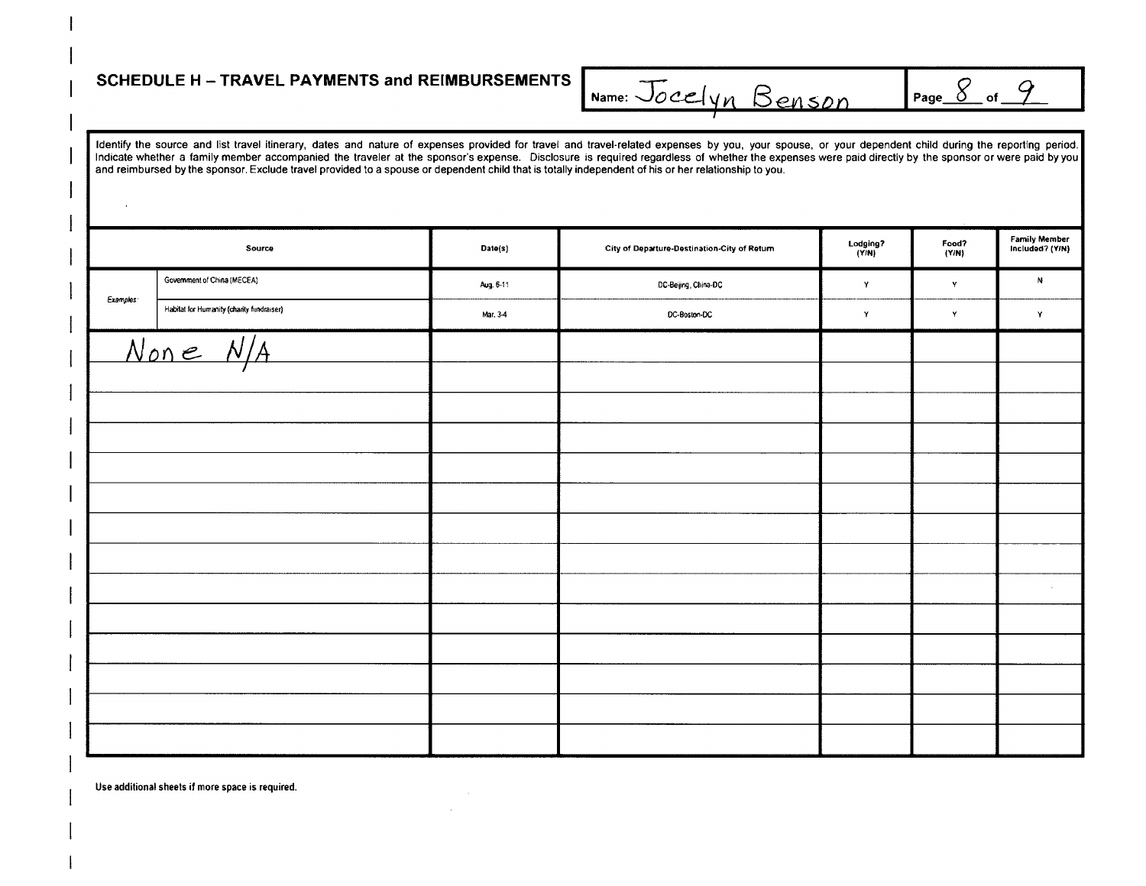#### **SCHEDULE H - TRAVEL PAYMENTS and REIMBURSEMENTS**

Page  $\frac{8}{5}$  of  $\frac{9}{5}$ Name: Jocelyn Benson

Identify the source and list travel itinerary, dates and nature of expenses provided for travel and travel-related expenses by you, your spouse, or your dependent child during the reporting period. Indicate whether a family member accompanied the traveler at the sponsor's expense. Disclosure is required regardless of whether the expenses were paid directly by the sponsor or were paid by you and reimbursed by the sponsor. Exclude travel provided to a spouse or dependent child that is totally independent of his or her relationship to you.

|                  | Source                                    | Date(s)   | City of Departure-Destination-City of Return | Lodging?<br>(Y/N) | Food?<br>(Y/N) | Family Member<br>Included? (Y/N) |
|------------------|-------------------------------------------|-----------|----------------------------------------------|-------------------|----------------|----------------------------------|
|                  | Government of China (MECEA)               | Aug. 6-11 | DC-Beijing, China-DC                         | Y                 | $\mathbf{Y}$   | N                                |
| <b>Examples:</b> | Habitat for Humanity (charity fundraiser) | Mar. 3-4  | DC-Boston-DC                                 | $\mathbf Y$       | $\mathbf Y$    | Y                                |
|                  | None N/A                                  |           |                                              |                   |                |                                  |
|                  |                                           |           |                                              |                   |                |                                  |
|                  |                                           |           |                                              |                   |                |                                  |
|                  |                                           |           |                                              |                   |                |                                  |
|                  |                                           |           |                                              |                   |                |                                  |
|                  |                                           |           |                                              |                   |                |                                  |
|                  |                                           |           |                                              |                   |                |                                  |
|                  |                                           |           |                                              |                   |                |                                  |
|                  |                                           |           |                                              |                   |                | $\sim$                           |
|                  |                                           |           |                                              |                   |                |                                  |
|                  |                                           |           |                                              |                   |                |                                  |
|                  |                                           |           |                                              |                   |                |                                  |
|                  |                                           |           |                                              |                   |                |                                  |
|                  |                                           |           |                                              |                   |                |                                  |